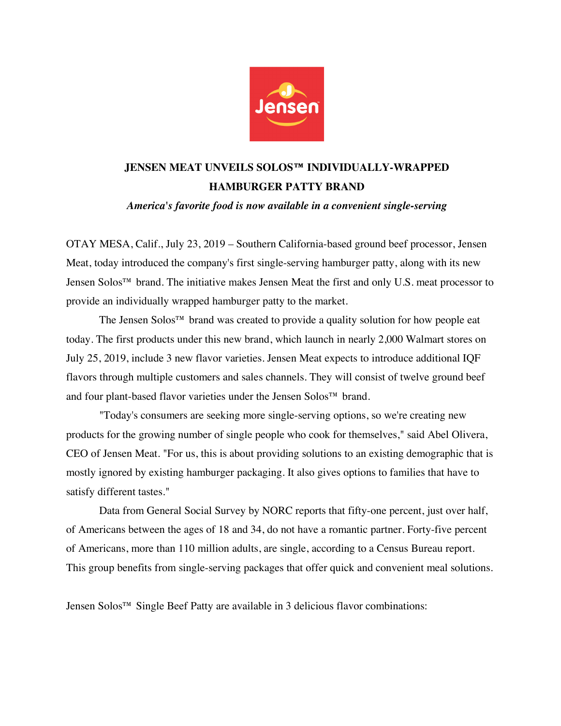

## **JENSEN MEAT UNVEILS SOLOS™ INDIVIDUALLY-WRAPPED HAMBURGER PATTY BRAND**

*America's favorite food is now available in a convenient single-serving*

OTAY MESA, Calif., July 23, 2019 – Southern California-based ground beef processor, Jensen Meat, today introduced the company's first single-serving hamburger patty, along with its new Jensen Solos™ brand. The initiative makes Jensen Meat the first and only U.S. meat processor to provide an individually wrapped hamburger patty to the market.

The Jensen Solos™ brand was created to provide a quality solution for how people eat today. The first products under this new brand, which launch in nearly 2,000 Walmart stores on July 25, 2019, include 3 new flavor varieties. Jensen Meat expects to introduce additional IQF flavors through multiple customers and sales channels. They will consist of twelve ground beef and four plant-based flavor varieties under the Jensen Solos™ brand.

"Today's consumers are seeking more single-serving options, so we're creating new products for the growing number of single people who cook for themselves," said Abel Olivera, CEO of Jensen Meat. "For us, this is about providing solutions to an existing demographic that is mostly ignored by existing hamburger packaging. It also gives options to families that have to satisfy different tastes."

Data from General Social Survey by NORC reports that fifty-one percent, just over half, of Americans between the ages of 18 and 34, do not have a romantic partner. Forty-five percent of Americans, more than 110 million adults, are single, according to a Census Bureau report. This group benefits from single-serving packages that offer quick and convenient meal solutions.

Jensen Solos™ Single Beef Patty are available in 3 delicious flavor combinations: